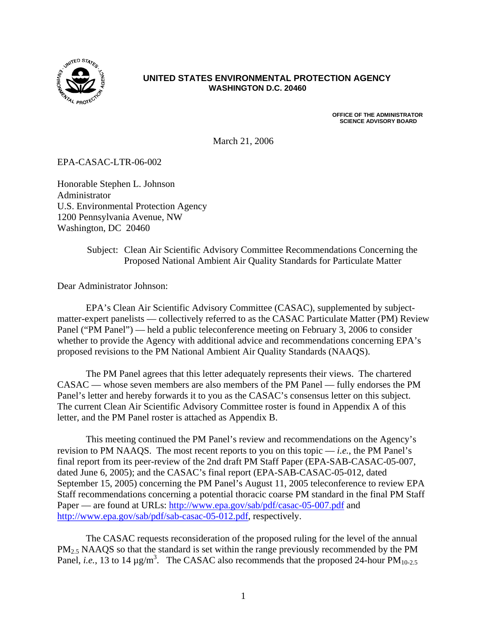

#### **UNITED STATES ENVIRONMENTAL PROTECTION AGENCY WASHINGTON D.C. 20460**

**OFFICE OF THE ADMINISTRATOR SCIENCE ADVISORY BOARD** 

March 21, 2006

EPA-CASAC-LTR-06-002

Honorable Stephen L. Johnson Administrator U.S. Environmental Protection Agency 1200 Pennsylvania Avenue, NW Washington, DC 20460

### Subject: Clean Air Scientific Advisory Committee Recommendations Concerning the Proposed National Ambient Air Quality Standards for Particulate Matter

Dear Administrator Johnson:

EPA's Clean Air Scientific Advisory Committee (CASAC), supplemented by subjectmatter-expert panelists — collectively referred to as the CASAC Particulate Matter (PM) Review Panel ("PM Panel") — held a public teleconference meeting on February 3, 2006 to consider whether to provide the Agency with additional advice and recommendations concerning EPA's proposed revisions to the PM National Ambient Air Quality Standards (NAAQS).

The PM Panel agrees that this letter adequately represents their views. The chartered CASAC — whose seven members are also members of the PM Panel — fully endorses the PM Panel's letter and hereby forwards it to you as the CASAC's consensus letter on this subject. The current Clean Air Scientific Advisory Committee roster is found in Appendix A of this letter, and the PM Panel roster is attached as Appendix B.

This meeting continued the PM Panel's review and recommendations on the Agency's revision to PM NAAQS. The most recent reports to you on this topic  $-$  *i.e.*, the PM Panel's final report from its peer-review of the 2nd draft PM Staff Paper (EPA-SAB-CASAC-05-007, dated June 6, 2005); and the CASAC's final report (EPA-SAB-CASAC-05-012, dated September 15, 2005) concerning the PM Panel's August 11, 2005 teleconference to review EPA Staff recommendations concerning a potential thoracic coarse PM standard in the final PM Staff Paper — are found at URLs: <http://www.epa.gov/sab/pdf/casac-05-007.pdf>and [http://www.epa.gov/sab/pdf/sab-casac-05-012.pdf,](http://www.epa.gov/sab/pdf/sab-casac-05-012.pdf) respectively.

The CASAC requests reconsideration of the proposed ruling for the level of the annual  $PM<sub>2.5</sub> NAAQS$  so that the standard is set within the range previously recommended by the PM Panel, *i.e.*, 13 to 14  $\mu$ g/m<sup>3</sup>. The CASAC also recommends that the proposed 24-hour PM<sub>10-2.5</sub>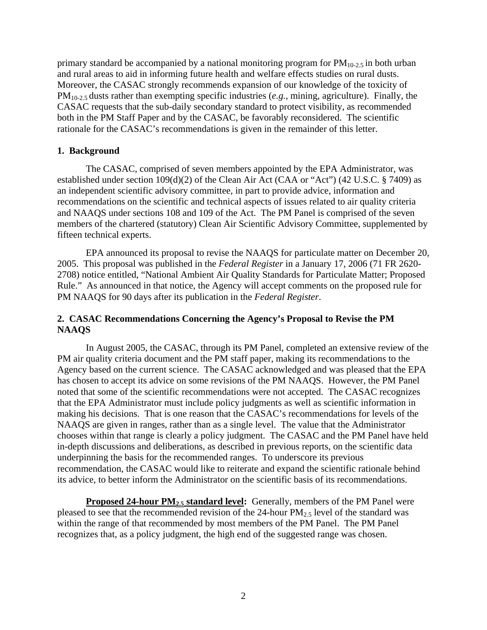primary standard be accompanied by a national monitoring program for  $PM_{10-2.5}$  in both urban and rural areas to aid in informing future health and welfare effects studies on rural dusts. Moreover, the CASAC strongly recommends expansion of our knowledge of the toxicity of PM10-2.5 dusts rather than exempting specific industries (*e.g.*, mining, agriculture). Finally, the CASAC requests that the sub-daily secondary standard to protect visibility, as recommended both in the PM Staff Paper and by the CASAC, be favorably reconsidered. The scientific rationale for the CASAC's recommendations is given in the remainder of this letter.

#### **1. Background**

The CASAC, comprised of seven members appointed by the EPA Administrator, was established under section 109(d)(2) of the Clean Air Act (CAA or "Act") (42 U.S.C. § 7409) as an independent scientific advisory committee, in part to provide advice, information and recommendations on the scientific and technical aspects of issues related to air quality criteria and NAAQS under sections 108 and 109 of the Act. The PM Panel is comprised of the seven members of the chartered (statutory) Clean Air Scientific Advisory Committee, supplemented by fifteen technical experts.

EPA announced its proposal to revise the NAAQS for particulate matter on December 20, 2005. This proposal was published in the *Federal Register* in a January 17, 2006 (71 FR 2620 2708) notice entitled, "National Ambient Air Quality Standards for Particulate Matter; Proposed Rule." As announced in that notice, the Agency will accept comments on the proposed rule for PM NAAQS for 90 days after its publication in the *Federal Register*.

#### **2. CASAC Recommendations Concerning the Agency's Proposal to Revise the PM NAAQS**

In August 2005, the CASAC, through its PM Panel, completed an extensive review of the PM air quality criteria document and the PM staff paper, making its recommendations to the Agency based on the current science. The CASAC acknowledged and was pleased that the EPA has chosen to accept its advice on some revisions of the PM NAAQS. However, the PM Panel noted that some of the scientific recommendations were not accepted. The CASAC recognizes that the EPA Administrator must include policy judgments as well as scientific information in making his decisions. That is one reason that the CASAC's recommendations for levels of the NAAQS are given in ranges, rather than as a single level. The value that the Administrator chooses within that range is clearly a policy judgment. The CASAC and the PM Panel have held in-depth discussions and deliberations, as described in previous reports, on the scientific data underpinning the basis for the recommended ranges. To underscore its previous recommendation, the CASAC would like to reiterate and expand the scientific rationale behind its advice, to better inform the Administrator on the scientific basis of its recommendations.

**Proposed 24-hour PM<sub>2.5</sub> standard level:** Generally, members of the PM Panel were pleased to see that the recommended revision of the 24-hour  $PM<sub>2.5</sub>$  level of the standard was within the range of that recommended by most members of the PM Panel. The PM Panel recognizes that, as a policy judgment, the high end of the suggested range was chosen.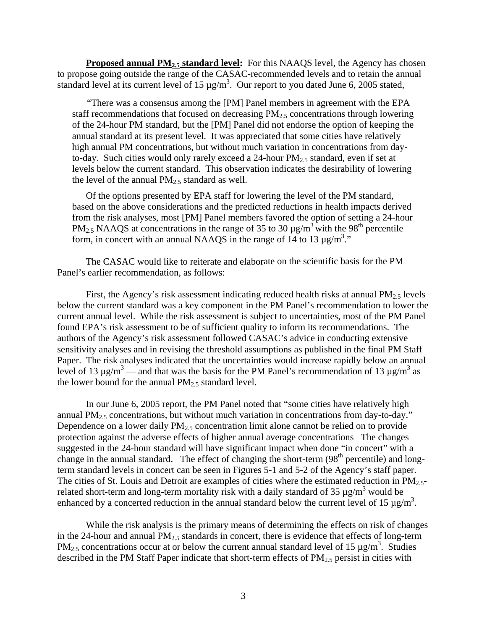**Proposed annual PM<sub>2.5</sub> standard level:** For this NAAQS level, the Agency has chosen to propose going outside the range of the CASAC-recommended levels and to retain the annual standard level at its current level of 15  $\mu$ g/m<sup>3</sup>. Our report to you dated June 6, 2005 stated,

"There was a consensus among the [PM] Panel members in agreement with the EPA staff recommendations that focused on decreasing  $PM_{2.5}$  concentrations through lowering of the 24-hour PM standard, but the [PM] Panel did not endorse the option of keeping the annual standard at its present level. It was appreciated that some cities have relatively high annual PM concentrations, but without much variation in concentrations from dayto-day. Such cities would only rarely exceed a 24-hour  $PM<sub>2.5</sub>$  standard, even if set at levels below the current standard. This observation indicates the desirability of lowering the level of the annual  $PM_{2.5}$  standard as well.

Of the options presented by EPA staff for lowering the level of the PM standard, based on the above considerations and the predicted reductions in health impacts derived from the risk analyses, most [PM] Panel members favored the option of setting a 24-hour  $PM_{2.5}$  NAAQS at concentrations in the range of 35 to 30  $\mu$ g/m<sup>3</sup> with the 98<sup>th</sup> percentile form, in concert with an annual NAAQS in the range of 14 to 13  $\mu$ g/m<sup>3</sup>."

The CASAC would like to reiterate and elaborate on the scientific basis for the PM Panel's earlier recommendation, as follows:

First, the Agency's risk assessment indicating reduced health risks at annual  $PM_{2.5}$  levels below the current standard was a key component in the PM Panel's recommendation to lower the current annual level. While the risk assessment is subject to uncertainties, most of the PM Panel found EPA's risk assessment to be of sufficient quality to inform its recommendations. The authors of the Agency's risk assessment followed CASAC's advice in conducting extensive sensitivity analyses and in revising the threshold assumptions as published in the final PM Staff Paper. The risk analyses indicated that the uncertainties would increase rapidly below an annual level of 13  $\mu$ g/m<sup>3</sup> — and that was the basis for the PM Panel's recommendation of 13  $\mu$ g/m<sup>3</sup> as the lower bound for the annual  $PM<sub>2.5</sub>$  standard level.

In our June 6, 2005 report, the PM Panel noted that "some cities have relatively high annual PM<sub>2.5</sub> concentrations, but without much variation in concentrations from day-to-day." Dependence on a lower daily  $PM<sub>2.5</sub>$  concentration limit alone cannot be relied on to provide protection against the adverse effects of higher annual average concentrations The changes suggested in the 24-hour standard will have significant impact when done "in concert" with a change in the annual standard. The effect of changing the short-term  $(98<sup>th</sup>$  percentile) and longterm standard levels in concert can be seen in Figures 5-1 and 5-2 of the Agency's staff paper. The cities of St. Louis and Detroit are examples of cities where the estimated reduction in  $PM_{2.5}$ related short-term and long-term mortality risk with a daily standard of 35  $\mu$ g/m<sup>3</sup> would be enhanced by a concerted reduction in the annual standard below the current level of 15  $\mu$ g/m<sup>3</sup>.

While the risk analysis is the primary means of determining the effects on risk of changes in the 24-hour and annual  $PM<sub>2.5</sub>$  standards in concert, there is evidence that effects of long-term PM<sub>2.5</sub> concentrations occur at or below the current annual standard level of 15  $\mu$ g/m<sup>3</sup>. Studies described in the PM Staff Paper indicate that short-term effects of  $PM_{2.5}$  persist in cities with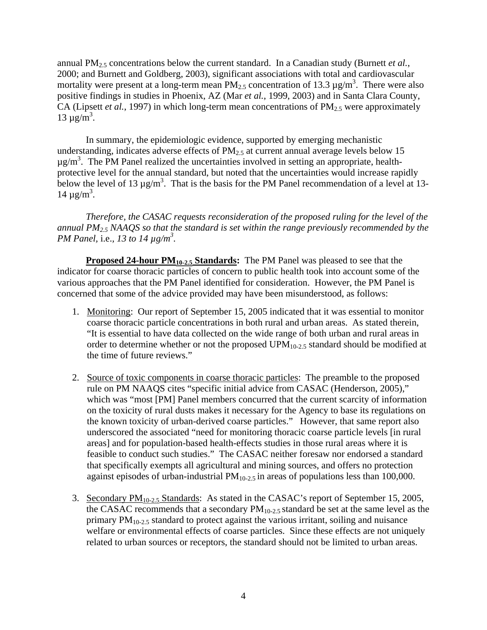annual PM2.5 concentrations below the current standard. In a Canadian study (Burnett *et al.*, 2000; and Burnett and Goldberg, 2003), significant associations with total and cardiovascular mortality were present at a long-term mean  $PM_{2.5}$  concentration of 13.3  $\mu$ g/m<sup>3</sup>. There were also positive findings in studies in Phoenix, AZ (Mar *et al.*, 1999, 2003) and in Santa Clara County, CA (Lipsett *et al.*, 1997) in which long-term mean concentrations of PM<sub>2.5</sub> were approximately  $13 \mu g/m^3$ .

In summary, the epidemiologic evidence, supported by emerging mechanistic understanding, indicates adverse effects of  $PM<sub>2.5</sub>$  at current annual average levels below 15  $\mu$ g/m<sup>3</sup>. The PM Panel realized the uncertainties involved in setting an appropriate, healthprotective level for the annual standard, but noted that the uncertainties would increase rapidly below the level of 13  $\mu$ g/m<sup>3</sup>. That is the basis for the PM Panel recommendation of a level at 13  $14 \mu g/m^3$ .

*Therefore, the CASAC requests reconsideration of the proposed ruling for the level of the annual PM2.5 NAAQS so that the standard is set within the range previously recommended by the PM Panel, i.e., 13 to 14*  $\mu$ *g/m<sup>3</sup>.* 

**Proposed 24-hour PM<sub>10-2.5</sub> Standards:** The PM Panel was pleased to see that the indicator for coarse thoracic particles of concern to public health took into account some of the various approaches that the PM Panel identified for consideration. However, the PM Panel is concerned that some of the advice provided may have been misunderstood, as follows:

- 1. Monitoring: Our report of September 15, 2005 indicated that it was essential to monitor coarse thoracic particle concentrations in both rural and urban areas. As stated therein, "It is essential to have data collected on the wide range of both urban and rural areas in order to determine whether or not the proposed  $UPM_{10-2.5}$  standard should be modified at the time of future reviews."
- 2. Source of toxic components in coarse thoracic particles: The preamble to the proposed rule on PM NAAQS cites "specific initial advice from CASAC (Henderson, 2005)," which was "most [PM] Panel members concurred that the current scarcity of information on the toxicity of rural dusts makes it necessary for the Agency to base its regulations on the known toxicity of urban-derived coarse particles." However, that same report also underscored the associated "need for monitoring thoracic coarse particle levels [in rural areas] and for population-based health-effects studies in those rural areas where it is feasible to conduct such studies." The CASAC neither foresaw nor endorsed a standard that specifically exempts all agricultural and mining sources, and offers no protection against episodes of urban-industrial  $PM_{10-2.5}$  in areas of populations less than 100,000.
- 3. Secondary  $PM_{10-2.5}$  Standards: As stated in the CASAC's report of September 15, 2005, the CASAC recommends that a secondary  $PM_{10-2.5}$  standard be set at the same level as the primary  $PM_{10-2.5}$  standard to protect against the various irritant, soiling and nuisance welfare or environmental effects of coarse particles. Since these effects are not uniquely related to urban sources or receptors, the standard should not be limited to urban areas.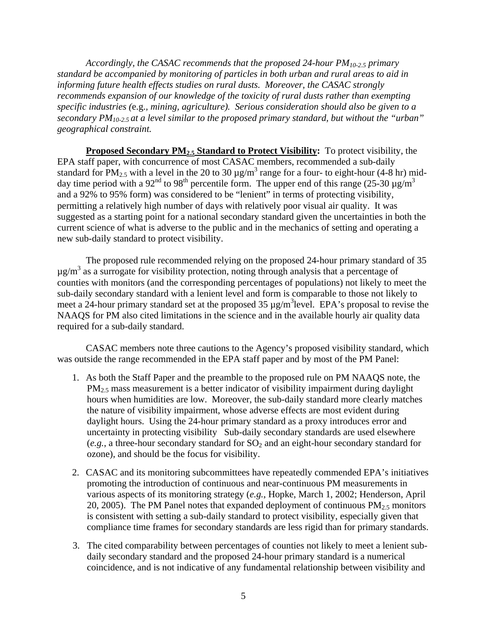*Accordingly, the CASAC recommends that the proposed 24-hour PM10-2.5 primary standard be accompanied by monitoring of particles in both urban and rural areas to aid in informing future health effects studies on rural dusts. Moreover, the CASAC strongly recommends expansion of our knowledge of the toxicity of rural dusts rather than exempting specific industries (*e.g.*, mining, agriculture). Serious consideration should also be given to a secondary PM10-2.5 at a level similar to the proposed primary standard, but without the "urban" geographical constraint.* 

**Proposed Secondary PM<sub>2.5</sub> Standard to Protect Visibility:** To protect visibility, the EPA staff paper, with concurrence of most CASAC members, recommended a sub-daily standard for PM<sub>2.5</sub> with a level in the 20 to 30  $\mu$ g/m<sup>3</sup> range for a four- to eight-hour (4-8 hr) mid day time period with a 92<sup>nd</sup> to 98<sup>th</sup> percentile form. The upper end of this range (25-30  $\mu$ g/m<sup>3</sup>) and a 92% to 95% form) was considered to be "lenient" in terms of protecting visibility, permitting a relatively high number of days with relatively poor visual air quality. It was suggested as a starting point for a national secondary standard given the uncertainties in both the current science of what is adverse to the public and in the mechanics of setting and operating a new sub-daily standard to protect visibility.

The proposed rule recommended relying on the proposed 24-hour primary standard of 35  $\mu$ g/m<sup>3</sup> as a surrogate for visibility protection, noting through analysis that a percentage of counties with monitors (and the corresponding percentages of populations) not likely to meet the sub-daily secondary standard with a lenient level and form is comparable to those not likely to meet a 24-hour primary standard set at the proposed 35  $\mu$ g/m<sup>3</sup>level. EPA's proposal to revise the NAAQS for PM also cited limitations in the science and in the available hourly air quality data required for a sub-daily standard.

CASAC members note three cautions to the Agency's proposed visibility standard, which was outside the range recommended in the EPA staff paper and by most of the PM Panel:

- 1. As both the Staff Paper and the preamble to the proposed rule on PM NAAQS note, the PM2.5 mass measurement is a better indicator of visibility impairment during daylight hours when humidities are low. Moreover, the sub-daily standard more clearly matches the nature of visibility impairment, whose adverse effects are most evident during daylight hours. Using the 24-hour primary standard as a proxy introduces error and uncertainty in protecting visibility Sub-daily secondary standards are used elsewhere  $(e.g., a three-hour secondary standard for SO<sub>2</sub> and an eight-hour secondary standard for  $10^{-10}$$ ozone), and should be the focus for visibility.
- 2. CASAC and its monitoring subcommittees have repeatedly commended EPA's initiatives promoting the introduction of continuous and near-continuous PM measurements in various aspects of its monitoring strategy (*e.g.*, Hopke, March 1, 2002; Henderson, April 20, 2005). The PM Panel notes that expanded deployment of continuous  $PM_{2.5}$  monitors is consistent with setting a sub-daily standard to protect visibility, especially given that compliance time frames for secondary standards are less rigid than for primary standards.
- 3. The cited comparability between percentages of counties not likely to meet a lenient subdaily secondary standard and the proposed 24-hour primary standard is a numerical coincidence, and is not indicative of any fundamental relationship between visibility and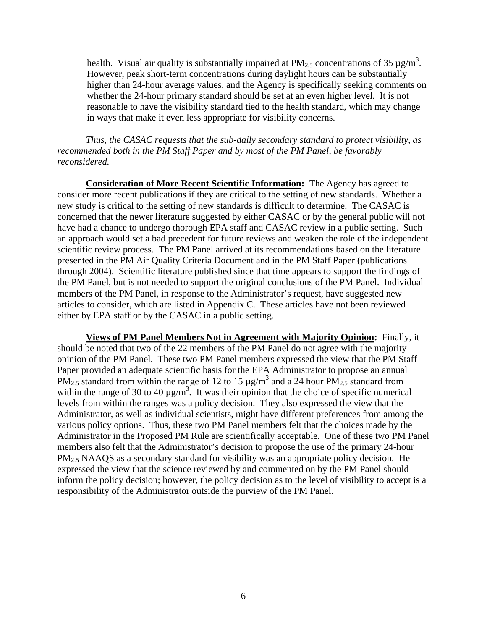health. Visual air quality is substantially impaired at  $PM_{2.5}$  concentrations of 35  $\mu$ g/m<sup>3</sup>. However, peak short-term concentrations during daylight hours can be substantially higher than 24-hour average values, and the Agency is specifically seeking comments on whether the 24-hour primary standard should be set at an even higher level. It is not reasonable to have the visibility standard tied to the health standard, which may change in ways that make it even less appropriate for visibility concerns.

*Thus, the CASAC requests that the sub-daily secondary standard to protect visibility, as recommended both in the PM Staff Paper and by most of the PM Panel, be favorably reconsidered.* 

**Consideration of More Recent Scientific Information:** The Agency has agreed to consider more recent publications if they are critical to the setting of new standards. Whether a new study is critical to the setting of new standards is difficult to determine. The CASAC is concerned that the newer literature suggested by either CASAC or by the general public will not have had a chance to undergo thorough EPA staff and CASAC review in a public setting. Such an approach would set a bad precedent for future reviews and weaken the role of the independent scientific review process. The PM Panel arrived at its recommendations based on the literature presented in the PM Air Quality Criteria Document and in the PM Staff Paper (publications through 2004). Scientific literature published since that time appears to support the findings of the PM Panel, but is not needed to support the original conclusions of the PM Panel. Individual members of the PM Panel, in response to the Administrator's request, have suggested new articles to consider, which are listed in Appendix C. These articles have not been reviewed either by EPA staff or by the CASAC in a public setting.

**Views of PM Panel Members Not in Agreement with Majority Opinion:** Finally, it should be noted that two of the 22 members of the PM Panel do not agree with the majority opinion of the PM Panel. These two PM Panel members expressed the view that the PM Staff Paper provided an adequate scientific basis for the EPA Administrator to propose an annual PM<sub>2.5</sub> standard from within the range of 12 to 15  $\mu$ g/m<sup>3</sup> and a 24 hour PM<sub>2.5</sub> standard from within the range of 30 to 40  $\mu$ g/m<sup>3</sup>. It was their opinion that the choice of specific numerical levels from within the ranges was a policy decision. They also expressed the view that the Administrator, as well as individual scientists, might have different preferences from among the various policy options. Thus, these two PM Panel members felt that the choices made by the Administrator in the Proposed PM Rule are scientifically acceptable. One of these two PM Panel members also felt that the Administrator's decision to propose the use of the primary 24-hour  $PM<sub>2.5</sub> NAAQS$  as a secondary standard for visibility was an appropriate policy decision. He expressed the view that the science reviewed by and commented on by the PM Panel should inform the policy decision; however, the policy decision as to the level of visibility to accept is a responsibility of the Administrator outside the purview of the PM Panel.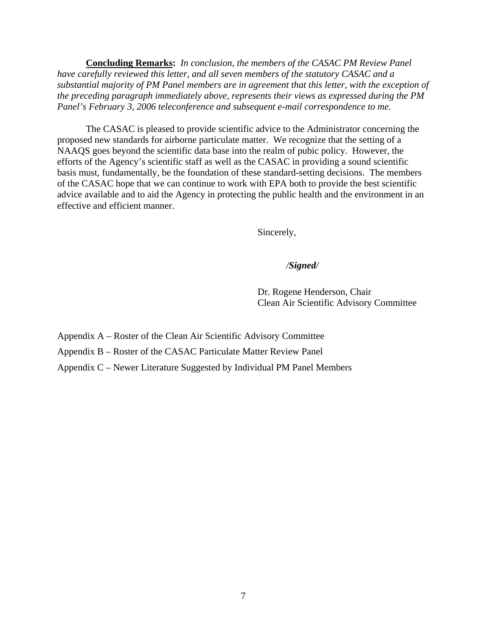**Concluding Remarks:** *In conclusion, the members of the CASAC PM Review Panel have carefully reviewed this letter, and all seven members of the statutory CASAC and a substantial majority of PM Panel members are in agreement that this letter, with the exception of the preceding paragraph immediately above, represents their views as expressed during the PM Panel's February 3, 2006 teleconference and subsequent e-mail correspondence to me.* 

The CASAC is pleased to provide scientific advice to the Administrator concerning the proposed new standards for airborne particulate matter. We recognize that the setting of a NAAQS goes beyond the scientific data base into the realm of pubic policy. However, the efforts of the Agency's scientific staff as well as the CASAC in providing a sound scientific basis must, fundamentally, be the foundation of these standard-setting decisions. The members of the CASAC hope that we can continue to work with EPA both to provide the best scientific advice available and to aid the Agency in protecting the public health and the environment in an effective and efficient manner.

Sincerely,

#### */Signed/*

Dr. Rogene Henderson, Chair Clean Air Scientific Advisory Committee

Appendix A – Roster of the Clean Air Scientific Advisory Committee

Appendix B – Roster of the CASAC Particulate Matter Review Panel

Appendix C – Newer Literature Suggested by Individual PM Panel Members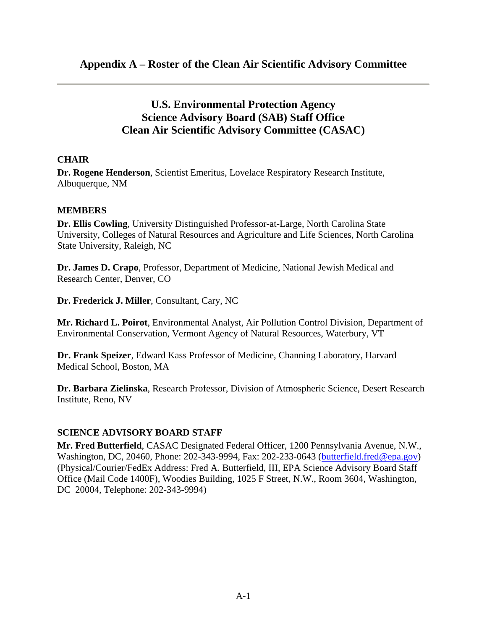# **U.S. Environmental Protection Agency Science Advisory Board (SAB) Staff Office Clean Air Scientific Advisory Committee (CASAC)**

## **CHAIR**

**Dr. Rogene Henderson**, Scientist Emeritus, Lovelace Respiratory Research Institute, Albuquerque, NM

## **MEMBERS**

**Dr. Ellis Cowling**, University Distinguished Professor-at-Large, North Carolina State University, Colleges of Natural Resources and Agriculture and Life Sciences, North Carolina State University, Raleigh, NC

**Dr. James D. Crapo**, Professor, Department of Medicine, National Jewish Medical and Research Center, Denver, CO

**Dr. Frederick J. Miller**, Consultant, Cary, NC

**Mr. Richard L. Poirot**, Environmental Analyst, Air Pollution Control Division, Department of Environmental Conservation, Vermont Agency of Natural Resources, Waterbury, VT

**Dr. Frank Speizer**, Edward Kass Professor of Medicine, Channing Laboratory, Harvard Medical School, Boston, MA

**Dr. Barbara Zielinska**, Research Professor, Division of Atmospheric Science, Desert Research Institute, Reno, NV

## **SCIENCE ADVISORY BOARD STAFF**

**Mr. Fred Butterfield**, CASAC Designated Federal Officer, 1200 Pennsylvania Avenue, N.W., Washington, DC, 20460, Phone: 202-343-9994, Fax: 202-233-0643 [\(butterfield.fred@epa.gov\)](mailto:butterfield.fred@epa.gov)  (Physical/Courier/FedEx Address: Fred A. Butterfield, III, EPA Science Advisory Board Staff Office (Mail Code 1400F), Woodies Building, 1025 F Street, N.W., Room 3604, Washington, DC 20004, Telephone: 202-343-9994)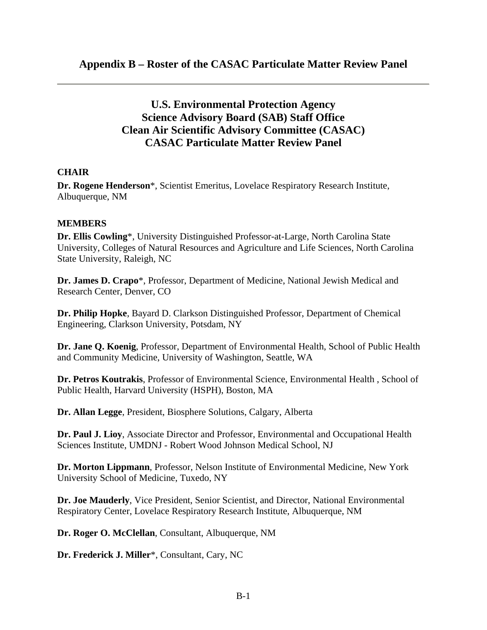# **U.S. Environmental Protection Agency Science Advisory Board (SAB) Staff Office Clean Air Scientific Advisory Committee (CASAC) CASAC Particulate Matter Review Panel**

### **CHAIR**

**Dr. Rogene Henderson**\*, Scientist Emeritus, Lovelace Respiratory Research Institute, Albuquerque, NM

### **MEMBERS**

**Dr. Ellis Cowling**\*, University Distinguished Professor-at-Large, North Carolina State University, Colleges of Natural Resources and Agriculture and Life Sciences, North Carolina State University, Raleigh, NC

**Dr. James D. Crapo**\*, Professor, Department of Medicine, National Jewish Medical and Research Center, Denver, CO

**Dr. Philip Hopke**, Bayard D. Clarkson Distinguished Professor, Department of Chemical Engineering, Clarkson University, Potsdam, NY

**Dr. Jane Q. Koenig**, Professor, Department of Environmental Health, School of Public Health and Community Medicine, University of Washington, Seattle, WA

**Dr. Petros Koutrakis**, Professor of Environmental Science, Environmental Health , School of Public Health, Harvard University (HSPH), Boston, MA

**Dr. Allan Legge**, President, Biosphere Solutions, Calgary, Alberta

**Dr. Paul J. Lioy**, Associate Director and Professor, Environmental and Occupational Health Sciences Institute, UMDNJ - Robert Wood Johnson Medical School, NJ

**Dr. Morton Lippmann**, Professor, Nelson Institute of Environmental Medicine, New York University School of Medicine, Tuxedo, NY

**Dr. Joe Mauderly**, Vice President, Senior Scientist, and Director, National Environmental Respiratory Center, Lovelace Respiratory Research Institute, Albuquerque, NM

**Dr. Roger O. McClellan**, Consultant, Albuquerque, NM

**Dr. Frederick J. Miller**\*, Consultant, Cary, NC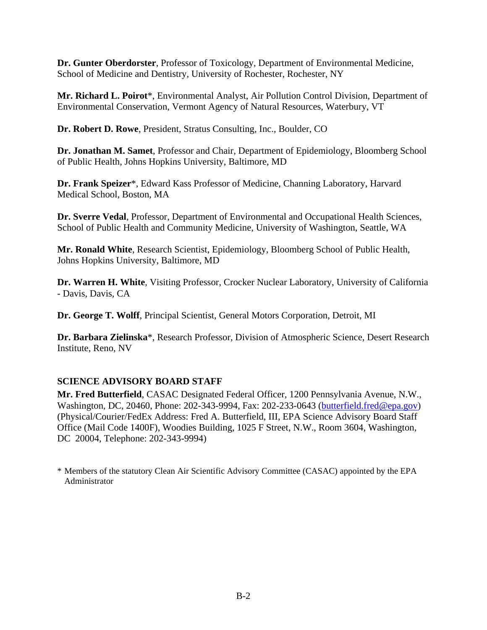**Dr. Gunter Oberdorster**, Professor of Toxicology, Department of Environmental Medicine, School of Medicine and Dentistry, University of Rochester, Rochester, NY

**Mr. Richard L. Poirot**\*, Environmental Analyst, Air Pollution Control Division, Department of Environmental Conservation, Vermont Agency of Natural Resources, Waterbury, VT

**Dr. Robert D. Rowe**, President, Stratus Consulting, Inc., Boulder, CO

**Dr. Jonathan M. Samet**, Professor and Chair, Department of Epidemiology, Bloomberg School of Public Health, Johns Hopkins University, Baltimore, MD

**Dr. Frank Speizer**\*, Edward Kass Professor of Medicine, Channing Laboratory, Harvard Medical School, Boston, MA

**Dr. Sverre Vedal**, Professor, Department of Environmental and Occupational Health Sciences, School of Public Health and Community Medicine, University of Washington, Seattle, WA

**Mr. Ronald White**, Research Scientist, Epidemiology, Bloomberg School of Public Health, Johns Hopkins University, Baltimore, MD

**Dr. Warren H. White**, Visiting Professor, Crocker Nuclear Laboratory, University of California - Davis, Davis, CA

**Dr. George T. Wolff**, Principal Scientist, General Motors Corporation, Detroit, MI

**Dr. Barbara Zielinska**\*, Research Professor, Division of Atmospheric Science, Desert Research Institute, Reno, NV

## **SCIENCE ADVISORY BOARD STAFF**

**Mr. Fred Butterfield**, CASAC Designated Federal Officer, 1200 Pennsylvania Avenue, N.W., Washington, DC, 20460, Phone: 202-343-9994, Fax: 202-233-0643 [\(butterfield.fred@epa.gov\)](mailto:butterfield.fred@epa.gov)  (Physical/Courier/FedEx Address: Fred A. Butterfield, III, EPA Science Advisory Board Staff Office (Mail Code 1400F), Woodies Building, 1025 F Street, N.W., Room 3604, Washington, DC 20004, Telephone: 202-343-9994)

\* Members of the statutory Clean Air Scientific Advisory Committee (CASAC) appointed by the EPA Administrator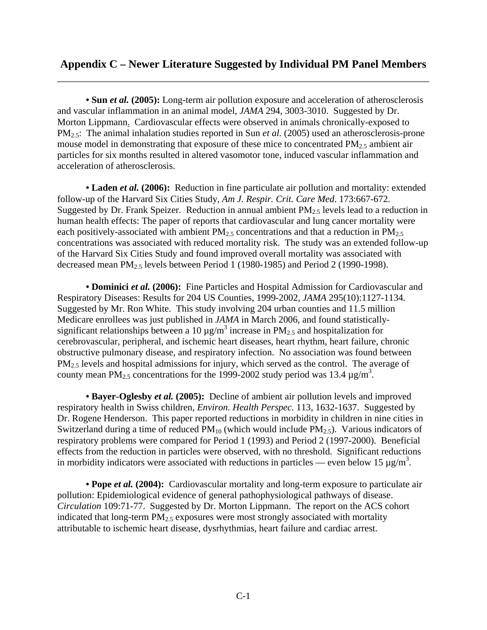## **Appendix C – Newer Literature Suggested by Individual PM Panel Members**

• **Sun** *et al.* (2005): Long-term air pollution exposure and acceleration of atherosclerosis and vascular inflammation in an animal model, *JAMA* 294, 3003-3010. Suggested by Dr. Morton Lippmann. Cardiovascular effects were observed in animals chronically-exposed to PM2.5: The animal inhalation studies reported in Sun *et al.* (2005) used an atherosclerosis-prone mouse model in demonstrating that exposure of these mice to concentrated  $PM_{2.5}$  ambient air particles for six months resulted in altered vasomotor tone, induced vascular inflammation and acceleration of atherosclerosis.

• Laden *et al.* (2006): Reduction in fine particulate air pollution and mortality: extended follow-up of the Harvard Six Cities Study, *Am J. Respir. Crit. Care Med*. 173:667-672. Suggested by Dr. Frank Speizer. Reduction in annual ambient  $PM<sub>2.5</sub>$  levels lead to a reduction in human health effects: The paper of reports that cardiovascular and lung cancer mortality were each positively-associated with ambient  $PM_{2.5}$  concentrations and that a reduction in  $PM_{2.5}$ concentrations was associated with reduced mortality risk. The study was an extended follow-up of the Harvard Six Cities Study and found improved overall mortality was associated with decreased mean  $PM_{2.5}$  levels between Period 1 (1980-1985) and Period 2 (1990-1998).

**• Dominici** *et al.* **(2006):** Fine Particles and Hospital Admission for Cardiovascular and Respiratory Diseases: Results for 204 US Counties, 1999-2002, *JAMA* 295(10):1127-1134. Suggested by Mr. Ron White. This study involving 204 urban counties and 11.5 million Medicare enrollees was just published in *JAMA* in March 2006, and found statisticallysignificant relationships between a 10  $\mu$ g/m<sup>3</sup> increase in PM<sub>2.5</sub> and hospitalization for cerebrovascular, peripheral, and ischemic heart diseases, heart rhythm, heart failure, chronic obstructive pulmonary disease, and respiratory infection. No association was found between  $PM<sub>2.5</sub>$  levels and hospital admissions for injury, which served as the control. The average of county mean PM<sub>2.5</sub> concentrations for the 1999-2002 study period was 13.4  $\mu$ g/m<sup>3</sup>.

**• Bayer-Oglesby** *et al.* **(2005):** Decline of ambient air pollution levels and improved respiratory health in Swiss children, *Environ. Health Perspec.* 113, 1632-1637. Suggested by Dr. Rogene Henderson. This paper reported reductions in morbidity in children in nine cities in Switzerland during a time of reduced  $PM_{10}$  (which would include  $PM_{2.5}$ ). Various indicators of respiratory problems were compared for Period 1 (1993) and Period 2 (1997-2000). Beneficial effects from the reduction in particles were observed, with no threshold. Significant reductions in morbidity indicators were associated with reductions in particles — even below 15  $\mu$ g/m<sup>3</sup>.

**• Pope** *et al.* **(2004):** Cardiovascular mortality and long-term exposure to particulate air pollution: Epidemiological evidence of general pathophysiological pathways of disease. *Circulation* 109:71-77. Suggested by Dr. Morton Lippmann. The report on the ACS cohort indicated that long-term  $PM<sub>2.5</sub>$  exposures were most strongly associated with mortality attributable to ischemic heart disease, dysrhythmias, heart failure and cardiac arrest.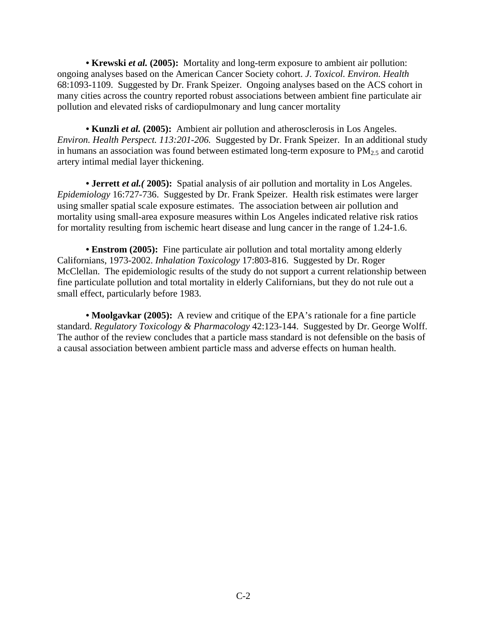• Krewski *et al.* (2005): Mortality and long-term exposure to ambient air pollution: ongoing analyses based on the American Cancer Society cohort. *J. Toxicol. Environ. Health*  68:1093-1109. Suggested by Dr. Frank Speizer. Ongoing analyses based on the ACS cohort in many cities across the country reported robust associations between ambient fine particulate air pollution and elevated risks of cardiopulmonary and lung cancer mortality

**• Kunzli** *et al.* **(2005):** Ambient air pollution and atherosclerosis in Los Angeles. *Environ. Health Perspect. 113:201-206.* Suggested by Dr. Frank Speizer. In an additional study in humans an association was found between estimated long-term exposure to  $PM<sub>2.5</sub>$  and carotid artery intimal medial layer thickening.

• **Jerrett** *et al.* (2005): Spatial analysis of air pollution and mortality in Los Angeles. *Epidemiology* 16:727-736. Suggested by Dr. Frank Speizer. Health risk estimates were larger using smaller spatial scale exposure estimates. The association between air pollution and mortality using small-area exposure measures within Los Angeles indicated relative risk ratios for mortality resulting from ischemic heart disease and lung cancer in the range of 1.24-1.6.

**• Enstrom (2005):** Fine particulate air pollution and total mortality among elderly Californians, 1973-2002. *Inhalation Toxicology* 17:803-816. Suggested by Dr. Roger McClellan. The epidemiologic results of the study do not support a current relationship between fine particulate pollution and total mortality in elderly Californians, but they do not rule out a small effect, particularly before 1983.

**• Moolgavkar (2005):** A review and critique of the EPA's rationale for a fine particle standard. *Regulatory Toxicology & Pharmacology* 42:123-144. Suggested by Dr. George Wolff. The author of the review concludes that a particle mass standard is not defensible on the basis of a causal association between ambient particle mass and adverse effects on human health.